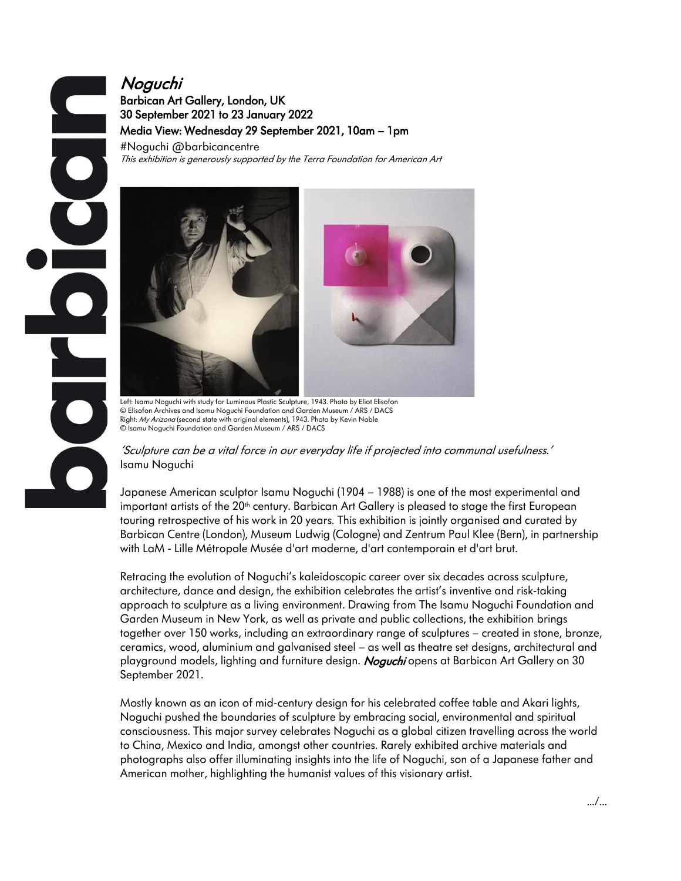# Noguchi Barbican Art Gallery, London, UK 30 September 2021 to 23 January 2022 Media View: Wednesday 29 September 2021, 10am – 1pm

#Noguchi @barbicancentre This exhibition is generously supported by the Terra Foundation for American Art



 Left: Isamu Noguchi with study for Luminous Plastic Sculpture, 1943. Photo by Eliot Elisofon © Elisofon Archives and Isamu Noguchi Foundation and Garden Museum / ARS / DACS Right: My Arizona (second state with original elements), 1943. Photo by Kevin Noble © Isamu Noguchi Foundation and Garden Museum / ARS / DACS

'Sculpture can be a vital force in our everyday life if projected into communal usefulness.' Isamu Noguchi

Japanese American sculptor Isamu Noguchi (1904 – 1988) is one of the most experimental and important artists of the 20<sup>th</sup> century. Barbican Art Gallery is pleased to stage the first European touring retrospective of his work in 20 years. This exhibition is jointly organised and curated by Barbican Centre (London), Museum Ludwig (Cologne) and Zentrum Paul Klee (Bern), in partnership with LaM - Lille Métropole Musée d'art moderne, d'art contemporain et d'art brut.

Retracing the evolution of Noguchi's kaleidoscopic career over six decades across sculpture, architecture, dance and design, the exhibition celebrates the artist's inventive and risk-taking approach to sculpture as a living environment. Drawing from The Isamu Noguchi Foundation and Garden Museum in New York, as well as private and public collections, the exhibition brings together over 150 works, including an extraordinary range of sculptures – created in stone, bronze, ceramics, wood, aluminium and galvanised steel – as well as theatre set designs, architectural and playground models, lighting and furniture design. *Noguchi* opens at Barbican Art Gallery on 30 September 2021.

Mostly known as an icon of mid-century design for his celebrated coffee table and Akari lights, Noguchi pushed the boundaries of sculpture by embracing social, environmental and spiritual consciousness. This major survey celebrates Noguchi as a global citizen travelling across the world to China, Mexico and India, amongst other countries. Rarely exhibited archive materials and photographs also offer illuminating insights into the life of Noguchi, son of a Japanese father and American mother, highlighting the humanist values of this visionary artist.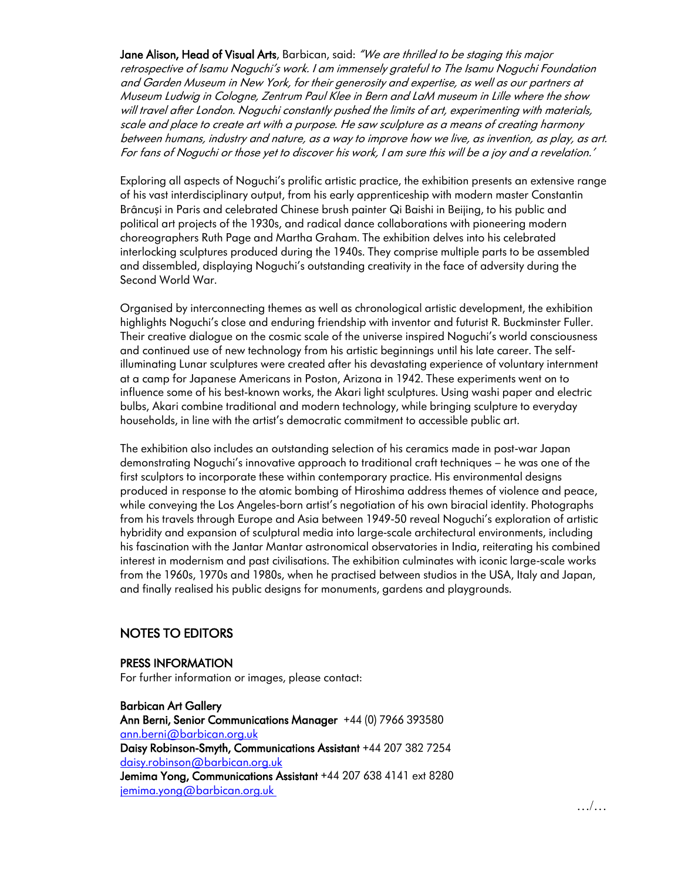Jane Alison, Head of Visual Arts, Barbican, said: "We are thrilled to be staging this major retrospective of Isamu Noguchi's work. I am immensely grateful to The Isamu Noguchi Foundation and Garden Museum in New York, for their generosity and expertise, as well as our partners at Museum Ludwig in Cologne, Zentrum Paul Klee in Bern and LaM museum in Lille where the show will travel after London. Noguchi constantly pushed the limits of art, experimenting with materials, scale and place to create art with a purpose. He saw sculpture as a means of creating harmony between humans, industry and nature, as a way to improve how we live, as invention, as play, as art. For fans of Noguchi or those yet to discover his work, I am sure this will be a joy and a revelation.'

Exploring all aspects of Noguchi's prolific artistic practice, the exhibition presents an extensive range of his vast interdisciplinary output, from his early apprenticeship with modern master Constantin Brâncuși in Paris and celebrated Chinese brush painter Qi Baishi in Beijing, to his public and political art projects of the 1930s, and radical dance collaborations with pioneering modern choreographers Ruth Page and Martha Graham. The exhibition delves into his celebrated interlocking sculptures produced during the 1940s. They comprise multiple parts to be assembled and dissembled, displaying Noguchi's outstanding creativity in the face of adversity during the Second World War.

Organised by interconnecting themes as well as chronological artistic development, the exhibition highlights Noguchi's close and enduring friendship with inventor and futurist R. Buckminster Fuller. Their creative dialogue on the cosmic scale of the universe inspired Noguchi's world consciousness and continued use of new technology from his artistic beginnings until his late career. The selfilluminating Lunar sculptures were created after his devastating experience of voluntary internment at a camp for Japanese Americans in Poston, Arizona in 1942. These experiments went on to influence some of his best-known works, the Akari light sculptures. Using washi paper and electric bulbs, Akari combine traditional and modern technology, while bringing sculpture to everyday households, in line with the artist's democratic commitment to accessible public art.

The exhibition also includes an outstanding selection of his ceramics made in post-war Japan demonstrating Noguchi's innovative approach to traditional craft techniques – he was one of the first sculptors to incorporate these within contemporary practice. His environmental designs produced in response to the atomic bombing of Hiroshima address themes of violence and peace, while conveying the Los Angeles-born artist's negotiation of his own biracial identity. Photographs from his travels through Europe and Asia between 1949-50 reveal Noguchi's exploration of artistic hybridity and expansion of sculptural media into large-scale architectural environments, including his fascination with the Jantar Mantar astronomical observatories in India, reiterating his combined interest in modernism and past civilisations. The exhibition culminates with iconic large-scale works from the 1960s, 1970s and 1980s, when he practised between studios in the USA, Italy and Japan, and finally realised his public designs for monuments, gardens and playgrounds.

## NOTES TO EDITORS

#### PRESS INFORMATION

For further information or images, please contact:

#### Barbican Art Gallery

Ann Berni, Senior Communications Manager +44 (0) 7966 393580 [ann.berni@barbican.org.uk](mailto:ann.berni@barbican.org.uk) Daisy Robinson-Smyth, Communications Assistant +44 207 382 7254 [daisy.robinson@barbican.org.uk](mailto:daisy.robinson@barbican.org.uk) Jemima Yong, Communications Assistant +44 207 638 4141 ext 8280 [jemima.yong@barbican.org.uk](mailto:jemima.yong@barbican.org.uk)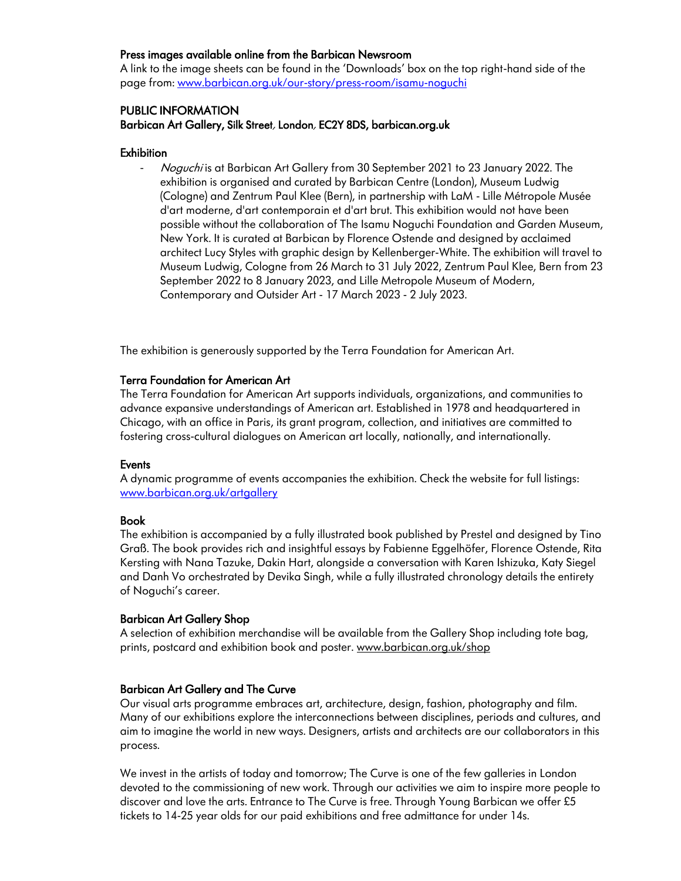### Press images available online from the Barbican Newsroom

A link to the image sheets can be found in the 'Downloads' box on the top right-hand side of the page from[: www.barbican.org.uk/our-story/press-room/isamu-noguchi](http://www.barbican.org.uk/our-story/press-room/isamu-noguchi)

### PUBLIC INFORMATION

Barbican Art Gallery, Silk Street, London, EC2Y 8DS, barbican.org.uk

#### **Exhibition**

- Noguchi is at Barbican Art Gallery from 30 September 2021 to 23 January 2022. The exhibition is organised and curated by Barbican Centre (London), Museum Ludwig (Cologne) and Zentrum Paul Klee (Bern), in partnership with LaM - Lille Métropole Musée d'art moderne, d'art contemporain et d'art brut. This exhibition would not have been possible without the collaboration of The Isamu Noguchi Foundation and Garden Museum, New York. It is curated at Barbican by Florence Ostende and designed by acclaimed architect Lucy Styles with graphic design by Kellenberger-White. The exhibition will travel to Museum Ludwig, Cologne from 26 March to 31 July 2022, Zentrum Paul Klee, Bern from 23 September 2022 to 8 January 2023, and Lille Metropole Museum of Modern, Contemporary and Outsider Art - 17 March 2023 - 2 July 2023.

The exhibition is generously supported by the Terra Foundation for American Art.

#### Terra Foundation for American Art

The Terra Foundation for American Art supports individuals, organizations, and communities to advance expansive understandings of American art. Established in 1978 and headquartered in Chicago, with an office in Paris, its grant program, collection, and initiatives are committed to fostering cross-cultural dialogues on American art locally, nationally, and internationally.

#### Events

A dynamic programme of events accompanies the exhibition. Check the website for full listings: [www.barbican.org.uk/artgallery](http://www.barbican.org.uk/artgallery)

#### Book

The exhibition is accompanied by a fully illustrated book published by Prestel and designed by Tino Graß. The book provides rich and insightful essays by Fabienne Eggelhöfer, Florence Ostende, Rita Kersting with Nana Tazuke, Dakin Hart, alongside a conversation with Karen Ishizuka, Katy Siegel and Danh Vo orchestrated by Devika Singh, while a fully illustrated chronology details the entirety of Noguchi's career.

### Barbican Art Gallery Shop

A selection of exhibition merchandise will be available from the Gallery Shop including tote bag, prints, postcard and exhibition book and poster. [www.barbican.org.uk/shop](http://www.barbican.org.uk/shop)

### Barbican Art Gallery and The Curve

Our visual arts programme embraces art, architecture, design, fashion, photography and film. Many of our exhibitions explore the interconnections between disciplines, periods and cultures, and aim to imagine the world in new ways. Designers, artists and architects are our collaborators in this process.

We invest in the artists of today and tomorrow; The Curve is one of the few galleries in London devoted to the commissioning of new work. Through our activities we aim to inspire more people to discover and love the arts. Entrance to The Curve is free. Through Young Barbican we offer £5 tickets to 14-25 year olds for our paid exhibitions and free admittance for under 14s.